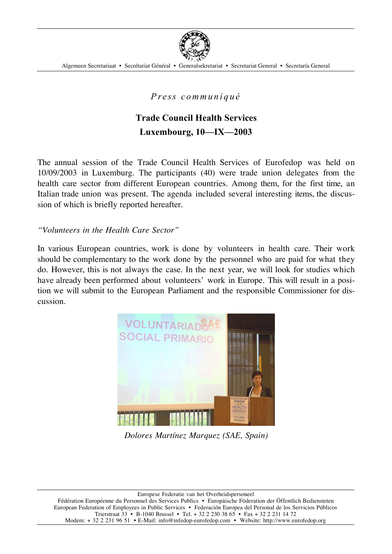

Algemeen Secretariaat • Secrétariat Général • Generalsekretariat • Secretariat General • Secretaría General

*P re ss c ommu n i q u é*

## **Trade Council Health Services Luxembourg, 10—IX—2003**

The annual session of the Trade Council Health Services of Eurofedop was held on 10/09/2003 in Luxemburg. The participants (40) were trade union delegates from the health care sector from different European countries. Among them, for the first time, an Italian trade union was present. The agenda included several interesting items, the discussion of which is briefly reported hereafter.

*"Volunteers in the Health Care Sector"*

In various European countries, work is done by volunteers in health care. Their work should be complementary to the work done by the personnel who are paid for what they do. However, this is not always the case. In the next year, we will look for studies which have already been performed about volunteers' work in Europe. This will result in a position we will submit to the European Parliament and the responsible Commissioner for discussion.



*Dolores Martínez Marquez (SAE, Spain)*

Europese Federatie van het Overheidspersoneel Fédération Européenne du Personnel des Services Publics • Europäische Föderation der Öffentlich Bediensteten European Federation of Employees in Public Services • Federación Europea del Personal de los Servicios Públicos Trierstraat 33 • B-1040 Brussel • Tel. + 32 2 230 38 65 • Fax + 32 2 231 14 72 Modem: + 32 2 231 96 51 • E-Mail: info@infedop-eurofedop.com • Website: http://www.eurofedop.org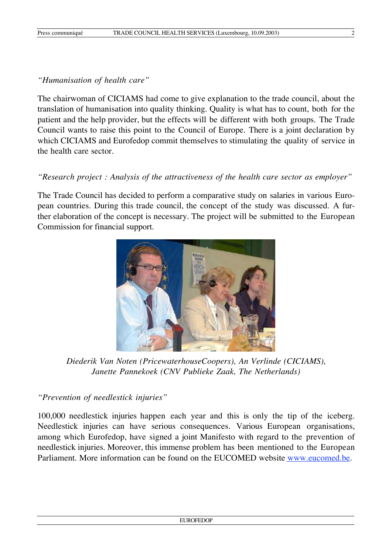## *"Humanisation of health care"*

The chairwoman of CICIAMS had come to give explanation to the trade council, about the translation of humanisation into quality thinking. Quality is what has to count, both for the patient and the help provider, but the effects will be different with both groups. The Trade Council wants to raise this point to the Council of Europe. There is a joint declaration by which CICIAMS and Eurofedop commit themselves to stimulating the quality of service in the health care sector.

## *"Research project : Analysis of the attractiveness of the health care sector as employer"*

The Trade Council has decided to perform a comparative study on salaries in various European countries. During this trade council, the concept of the study was discussed. A further elaboration of the concept is necessary. The project will be submitted to the European Commission for financial support.



*Diederik Van Noten (PricewaterhouseCoopers), An Verlinde (CICIAMS), Janette Pannekoek (CNV Publieke Zaak, The Netherlands)*

## *"Prevention of needlestick injuries"*

100,000 needlestick injuries happen each year and this is only the tip of the iceberg. Needlestick injuries can have serious consequences. Various European organisations, among which Eurofedop, have signed a joint Manifesto with regard to the prevention of needlestick injuries. Moreover, this immense problem has been mentioned to the European Parliament. More information can be found on the EUCOMED website www.eucomed.be.